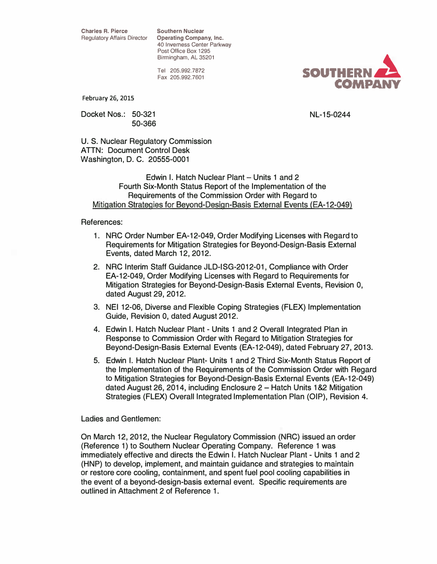**Regulatory Affairs Director Coperating Company, Inc.** 40 Inverness Center Parkway Post Office Box 1295 Birmingham, AL 35201

> Tel 205.992.7872 Fax 205.992.7601



February 26, 2015

Docket Nos.: 50-321 50-366 NL-15-0244

U. S. Nuclear Regulatory Commission ATTN: Document Control Desk Washington, D. C. 20555-0001

Edwin I. Hatch Nuclear Plant - Units 1 and 2 Fourth Six-Month Status Report of the Implementation of the Requirements of the Commission Order with Regard to Mitigation Strategies for Beyond-Design-Basis External Events (EA-12-049)

#### References:

- 1. NRC Order Number EA-12-049, Order Modifying Licenses with Regard to Requirements for Mitigation Strategies for Beyond-Design-Basis External Events, dated March 12, 2012.
- 2. NRC Interim Staff Guidance JLD-ISG-2012-01, Compliance with Order EA-12-049, Order Modifying Licenses with Regard to Requirements for Mitigation Strategies for Beyond-Design-Basis External Events, Revision 0, dated August 29, 2012.
- 3. NEI 12-06, Diverse and Flexible Coping Strategies (FLEX) Implementation Guide, Revision 0, dated August 2012.
- 4. Edwin I. Hatch Nuclear Plant Units 1 and 2 Overall Integrated Plan in Response to Commission Order with Regard to Mitigation Strategies for Beyond-Design-Basis External Events (EA-12-049), dated February 27, 2013.
- 5. Edwin I. Hatch Nuclear Plant- Units 1 and 2 Third Six-Month Status Report of the Implementation of the Requirements of the Commission Order with Regard to Mitigation Strategies for Beyond-Design-Basis External Events (EA-12-049) dated August 26, 2014, including Enclosure 2 - Hatch Units 1&2 Mitigation Strategies (FLEX) Overall Integrated Implementation Plan (OIP), Revision 4.

Ladies and Gentlemen:

On March 12, 2012, the Nuclear Regulatory Commission (NRC) issued an order (Reference 1) to Southern Nuclear Operating Company. Reference 1 was immediately effective and directs the Edwin I. Hatch Nuclear Plant - Units 1 and 2 (HNP) to develop, implement, and maintain guidance and strategies to maintain or restore core cooling, containment, and spent fuel pool cooling capabilities in the event of a beyond-design-basis external event. Specific requirements are outlined in Attachment 2 of Reference 1.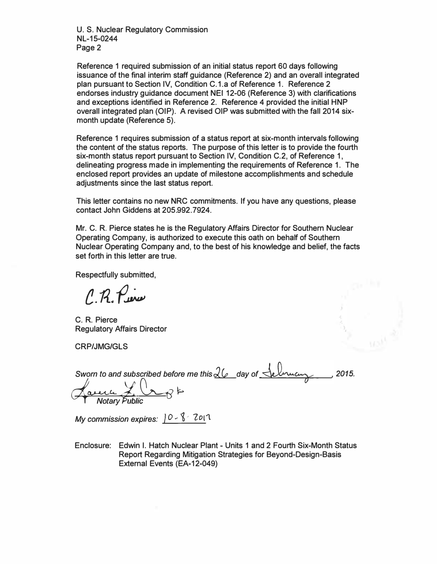U. S. Nuclear Regulatory Commission NL-15-0244 Page 2

Reference 1 required submission of an initial status report 60 days following issuance of the final interim staff guidance (Reference 2) and an overall integrated plan pursuant to Section IV, Condition C.1.a of Reference 1. Reference 2 endorses industry guidance document NEI 12-06 (Reference 3) with clarifications and exceptions identified in Reference 2. Reference 4 provided the initial HNP overall integrated plan (OIP). A revised OIP was submitted with the fall 2014 sixmonth update (Reference 5).

Reference 1 requires submission of a status report at six-month intervals following the content of the status reports. The purpose of this letter is to provide the fourth six-month status report pursuant to Section IV, Condition C. 2, of Reference 1, delineating progress made in implementing the requirements of Reference 1. The enclosed report provides an update of milestone accomplishments and schedule adjustments since the last status report.

This letter contains no new NRC commitments. If you have any questions, please contact John Giddens at 205.992.7924.

Mr. C. R. Pierce states he is the Regulatory Affairs Director for Southern Nuclear Operating Company, is authorized to execute this oath on behalf of Southern Nuclear Operating Company and, to the best of his knowledge and belief, the facts set forth in this letter are true.

Respectfully submitted,

e.fi.f�

C. R. Pierce Regulatory Affairs Director

CRP/JMG/GLS

| Sworn to and subscribed before me this $26$ day of Selmucus | .2015. |
|-------------------------------------------------------------|--------|
| Luna L. L'o                                                 |        |
| <b>Notary Public</b>                                        |        |

My commission expires:  $0 - \frac{8}{3}$   $201$ .

Enclosure: Edwin I. Hatch Nuclear Plant - Units 1 and 2 Fourth Six-Month Status Report Regarding Mitigation Strategies for Beyond-Design-Basis External Events (EA-12-049)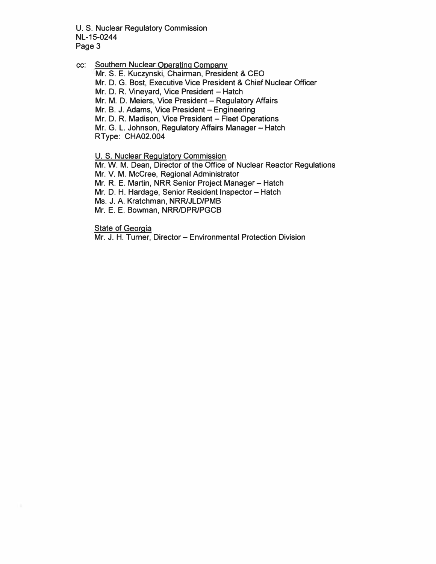U. S. Nuclear Regulatory Commission NL-15-0244 Page 3

cc: Southern Nuclear Operating Company

Mr. S. E. Kuczynski, Chairman, President & CEO

Mr. D. G. Bast, Executive Vice President & Chief Nuclear Officer

Mr. D. R. Vineyard, Vice President - Hatch

Mr. M. D. Meiers, Vice President - Regulatory Affairs

Mr. B. J. Adams, Vice President - Engineering

Mr. D. R. Madison, Vice President - Fleet Operations

Mr. G. L. Johnson, Regulatory Affairs Manager- Hatch

RType: CHA02.004

U. S. Nuclear Regulatory Commission

Mr. W. M. Dean, Director of the Office of Nuclear Reactor Regulations

Mr. V. M. McCree, Regional Administrator

Mr. R. E. Martin, NRR Senior Project Manager - Hatch

Mr. D. H. Hardage, Senior Resident Inspector - Hatch

Ms. J. A. Kratchman, NRRIJLD/PMB

Mr. E. E. Bowman, NRRIDPR/PGCB

**State of Georgia** 

Mr. J. H. Turner, Director - Environmental Protection Division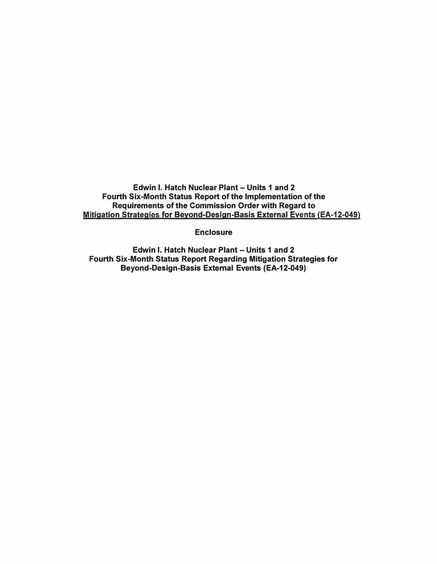Edwin I. Hatch Nuclear Plant - Units 1 and 2 Fourth Six-Month Status Report of the Implementation of the Requirements of the Commission Order with Regard to Mitigation Strategies for Beyond-Design-Basis External Events (EA-12-049)

**Enclosure** 

Edwin I. Hatch Nuclear Plant - Units 1 and 2 Fourth Six-Month Status Report Regarding Mitigation Strategies for Beyond-Design-Basis External Events (EA-12-049)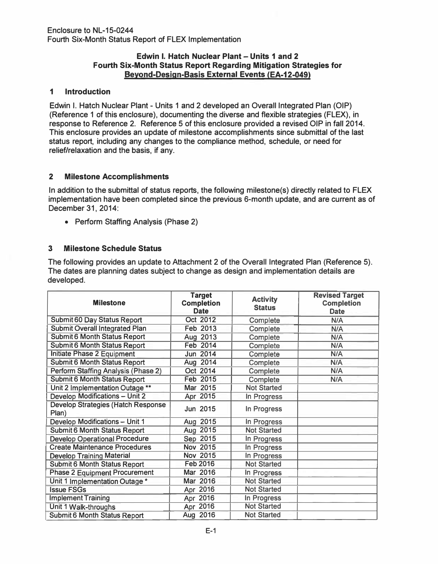### Edwin I. Hatch Nuclear Plant - Units 1 and 2 Fourth Six-Month Status Report Regarding Mitigation Strategies for Beyond-Design-Basis External Events (EA-12-049)

## 1 Introduction

Edwin I. Hatch Nuclear Plant - Units 1 and 2 developed an Overall Integrated Plan (OIP) (Reference 1 of this enclosure), documenting the diverse and flexible strategies (FLEX), in response to Reference 2. Reference 5 of this enclosure provided a revised OIP in fall 2014. This enclosure provides an update of milestone accomplishments since submittal of the last status report, including any changes to the compliance method, schedule, or need for relief/relaxation and the basis, if any.

## 2 Milestone Accomplishments

In addition to the submittal of status reports, the following milestone(s) directly related to FLEX implementation have been completed since the previous 6-month update, and are current as of December 31, 2014:

• Perform Staffing Analysis (Phase 2)

# 3 Milestone Schedule Status

The following provides an update to Attachment 2 of the Overall Integrated Plan (Reference 5). The dates are planning dates subject to change as design and implementation details are developed.

| <b>Milestone</b>                                   | <b>Target</b><br><b>Completion</b><br><b>Date</b> | <b>Activity</b><br><b>Status</b> | <b>Revised Target</b><br><b>Completion</b><br><b>Date</b> |
|----------------------------------------------------|---------------------------------------------------|----------------------------------|-----------------------------------------------------------|
| Submit 60 Day Status Report                        | Oct 2012                                          | Complete                         | N/A                                                       |
| <b>Submit Overall Integrated Plan</b>              | Feb 2013                                          | Complete                         | N/A                                                       |
| <b>Submit 6 Month Status Report</b>                | Aug 2013                                          | Complete                         | N/A                                                       |
| <b>Submit 6 Month Status Report</b>                | <b>Feb 2014</b>                                   | Complete                         | N/A                                                       |
| Initiate Phase 2 Equipment                         | Jun 2014                                          | Complete                         | N/A                                                       |
| <b>Submit 6 Month Status Report</b>                | Aug 2014                                          | Complete                         | N/A                                                       |
| Perform Staffing Analysis (Phase 2)                | Oct 2014                                          | Complete                         | N/A                                                       |
| <b>Submit 6 Month Status Report</b>                | Feb 2015                                          | Complete                         | N/A                                                       |
| Unit 2 Implementation Outage **                    | Mar 2015                                          | <b>Not Started</b>               |                                                           |
| <b>Develop Modifications - Unit 2</b>              | Apr 2015                                          | In Progress                      |                                                           |
| <b>Develop Strategies (Hatch Response</b><br>Plan) | Jun 2015                                          | In Progress                      |                                                           |
| Develop Modifications - Unit 1                     | Aug 2015                                          | In Progress                      |                                                           |
| <b>Submit 6 Month Status Report</b>                | Aug 2015                                          | <b>Not Started</b>               |                                                           |
| <b>Develop Operational Procedure</b>               | Sep 2015                                          | In Progress                      |                                                           |
| <b>Create Maintenance Procedures</b>               | Nov 2015                                          | In Progress                      |                                                           |
| <b>Develop Training Material</b>                   | Nov 2015                                          | In Progress                      |                                                           |
| <b>Submit 6 Month Status Report</b>                | <b>Feb 2016</b>                                   | <b>Not Started</b>               |                                                           |
| <b>Phase 2 Equipment Procurement</b>               | Mar 2016                                          | In Progress                      |                                                           |
| Unit 1 Implementation Outage *                     | Mar 2016                                          | <b>Not Started</b>               |                                                           |
| <b>Issue FSGs</b>                                  | Apr 2016                                          | <b>Not Started</b>               |                                                           |
| <b>Implement Training</b>                          | Apr 2016                                          | In Progress                      |                                                           |
| Unit 1 Walk-throughs                               | Apr 2016                                          | <b>Not Started</b>               |                                                           |
| Submit 6 Month Status Report                       | Aug 2016                                          | <b>Not Started</b>               |                                                           |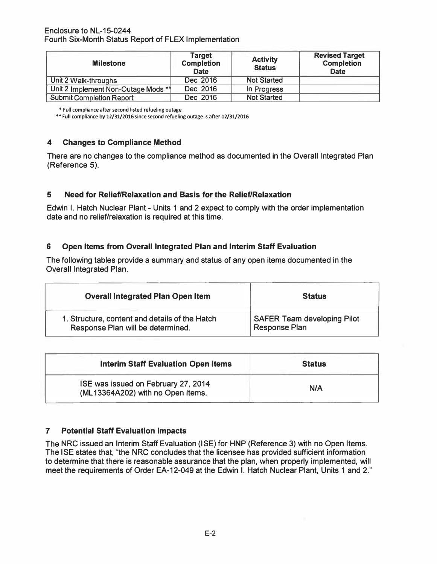#### Enclosure to NL-15-0244 Fourth Six-Month Status Report of FLEX Implementation

| <b>Milestone</b>                    | Target<br><b>Completion</b><br><b>Date</b> | <b>Activity</b><br><b>Status</b> | <b>Revised Target</b><br><b>Completion</b><br><b>Date</b> |
|-------------------------------------|--------------------------------------------|----------------------------------|-----------------------------------------------------------|
| Unit 2 Walk-throughs                | Dec 2016                                   | <b>Not Started</b>               |                                                           |
| Unit 2 Implement Non-Outage Mods ** | Dec 2016                                   | In Progress                      |                                                           |
| <b>Submit Completion Report</b>     | Dec 2016                                   | <b>Not Started</b>               |                                                           |

• Full compliance after second listed refueling outage

•• Full compliance by 12/31/2016 since second refueling outage is after 12/31/2016

### 4 Changes to Compliance Method

There are no changes to the compliance method as documented in the Overall Integrated Plan (Reference 5).

## 5 Need for Relief/Relaxation and Basis for the Relief/Relaxation

Edwin I. Hatch Nuclear Plant - Units 1 and 2 expect to comply with the order implementation date and no relief/relaxation is required at this time.

### 6 Open Items from Overall Integrated Plan and Interim Staff Evaluation

The following tables provide a summary and status of any open items documented in the Overall Integrated Plan.

| <b>Overall Integrated Plan Open Item</b>       | <b>Status</b>                      |
|------------------------------------------------|------------------------------------|
| 1. Structure, content and details of the Hatch | <b>SAFER Team developing Pilot</b> |
| Response Plan will be determined.              | <b>Response Plan</b>               |

| <b>Interim Staff Evaluation Open Items</b>                               | <b>Status</b> |
|--------------------------------------------------------------------------|---------------|
| ISE was issued on February 27, 2014<br>(ML13364A202) with no Open Items. | N/A           |

## 7 Potential Staff Evaluation Impacts

The NRC issued an Interim Staff Evaluation (ISE) for HNP (Reference 3) with no Open Items. The ISE states that, "the NRC concludes that the licensee has provided sufficient information to determine that there is reasonable assurance that the plan, when properly implemented, will meet the requirements of Order EA-12-049 at the Edwin I. Hatch Nuclear Plant, Units 1 and 2."